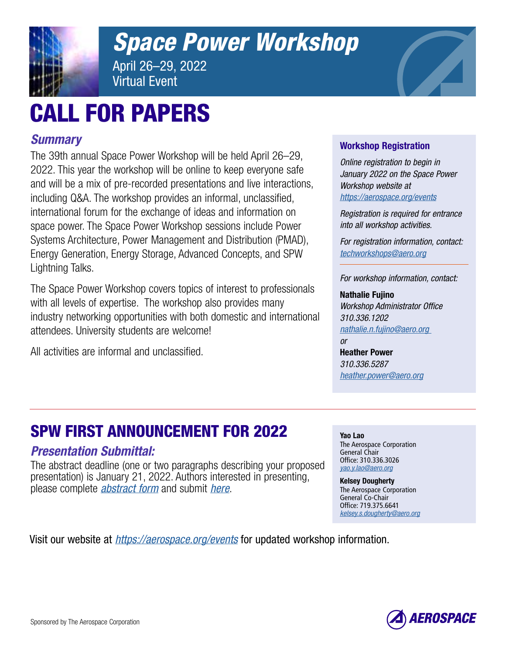

# *[Space Power Workshop](https://aerospace.org/spw)*

April 26–29, 2022 Virtual Event

# CALL FOR PAPERS

# *Summary*

The 39th annual Space Power Workshop will be held April 26–29, 2022. This year the workshop will be online to keep everyone safe and will be a mix of pre-recorded presentations and live interactions, including Q&A. The workshop provides an informal, unclassified, international forum for the exchange of ideas and information on space power. The Space Power Workshop sessions include Power Systems Architecture, Power Management and Distribution (PMAD), Energy Generation, Energy Storage, Advanced Concepts, and SPW Lightning Talks.

The Space Power Workshop covers topics of interest to professionals with all levels of expertise. The workshop also provides many industry networking opportunities with both domestic and international attendees. University students are welcome!

All activities are informal and unclassified.

## Workshop Registration

*Online registration to begin in January 2022 on the Space Power Workshop website at <https://aerospace.org/events>*

*Registration is required for entrance into all workshop activities.*

*For registration information, contact: [techworkshops@aero.org](mailto:techworkshops%40aero.org?subject=Workshop%20Registration)*

*For workshop information, contact:*

### Nathalie Fujino

*Workshop Administrator Office 310.336.1202 [nathalie.n.fujino@aero.org](mailto:nathalie.n.fujino%40aero.org?subject=Workshop%20Information)* 

*or*  Heather Power *310.336.5287 [heather.power@aero.org](mailto:heather.power%40aero.org?subject=Workshop%20Information)*

The Aerospace Corporation

Yao Lao

General Chair Office: 310.336.3026 *[yao.y.lao@aero.org](mailto:yao.y.lao%40aero.org%20?subject=More%20information)* Kelsey Dougherty The Aerospace Corporation General Co-Chair Office: 719.375.6641 *[kelsey.s.dougherty@aero.org](mailto:kelsey.s.dougherty%40aero.org?subject=More%20information)*

# SPW FIRST ANNOUNCEMENT FOR 2022

## *Presentation Submittal:*

The abstract deadline (one or two paragraphs describing your proposed presentation) is January 21, 2022. Authors interested in presenting, please complete *[abstract form](https://web.cvent.com/event/8231879f-5e76-4d4e-a081-7498bec50fa3/websitePage:96263736-1a46-40fb-93ac-cd3563dedc6c)* and submit *[here](mailto:spwtechnicalworkshop%40aero.org?subject=SPW%20Abstract%20Form%20Submittal)*.

Visit our website at *<https://aerospace.org/events>* for updated workshop information.